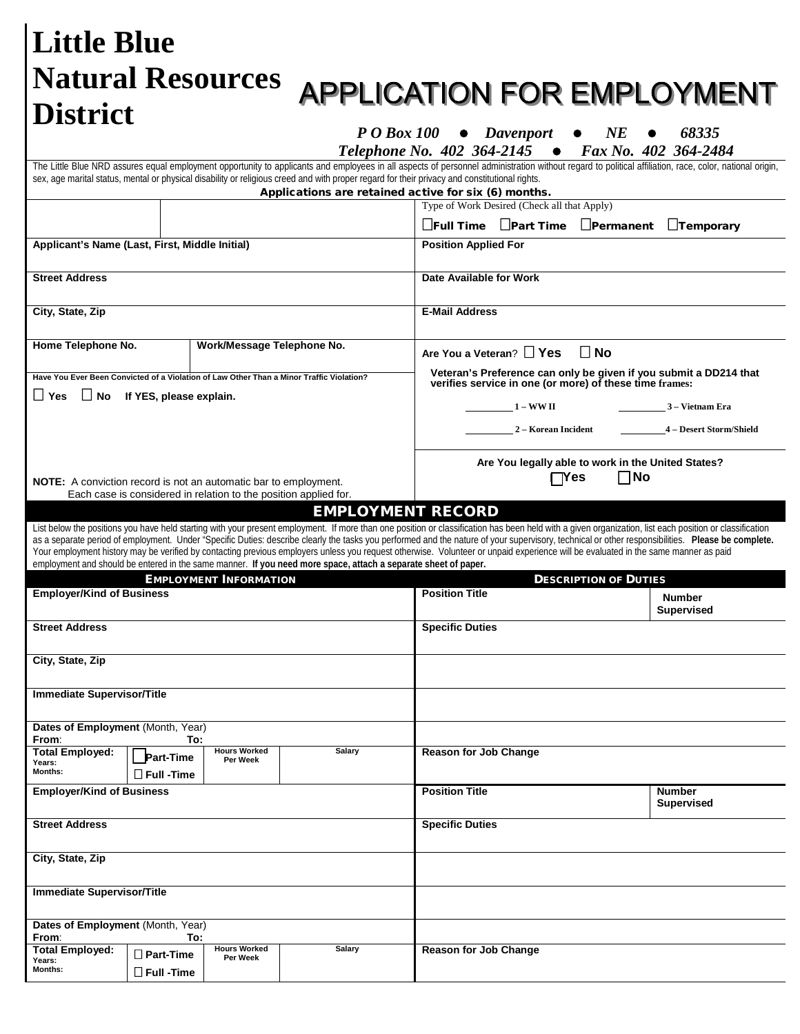| <b>Little Blue</b><br><b>Natural Resources</b><br><b>District</b>                                                                         |                                                 |                                                                                                   |                                                                                                                                            |                                                                                                                                                                                                                                                                                                                | <b>APPLICATION FOR EMPLOYMENT</b>                                                                                                                                                                                                                                                                                                                                                                                                            |  |  |  |  |  |  |
|-------------------------------------------------------------------------------------------------------------------------------------------|-------------------------------------------------|---------------------------------------------------------------------------------------------------|--------------------------------------------------------------------------------------------------------------------------------------------|----------------------------------------------------------------------------------------------------------------------------------------------------------------------------------------------------------------------------------------------------------------------------------------------------------------|----------------------------------------------------------------------------------------------------------------------------------------------------------------------------------------------------------------------------------------------------------------------------------------------------------------------------------------------------------------------------------------------------------------------------------------------|--|--|--|--|--|--|
|                                                                                                                                           |                                                 |                                                                                                   |                                                                                                                                            | P O Box 100 • Davenport<br>$N\!E$<br>68335                                                                                                                                                                                                                                                                     |                                                                                                                                                                                                                                                                                                                                                                                                                                              |  |  |  |  |  |  |
|                                                                                                                                           |                                                 |                                                                                                   |                                                                                                                                            | Telephone No. 402 364-2145<br>sex, age marital status, mental or physical disability or religious creed and with proper regard for their privacy and constitutional rights.<br>Applications are retained active for six (6) months.                                                                            | Fax No. 402 364-2484<br>The Little Blue NRD assures equal employment opportunity to applicants and employees in all aspects of personnel administration without regard to political affiliation, race, color, national origin,                                                                                                                                                                                                               |  |  |  |  |  |  |
|                                                                                                                                           |                                                 |                                                                                                   |                                                                                                                                            | Type of Work Desired (Check all that Apply)<br>$\square$ Full Time $\square$ Part Time $\square$ Permanent<br>$\Box$ Temporary                                                                                                                                                                                 |                                                                                                                                                                                                                                                                                                                                                                                                                                              |  |  |  |  |  |  |
| Applicant's Name (Last, First, Middle Initial)                                                                                            |                                                 |                                                                                                   |                                                                                                                                            | <b>Position Applied For</b>                                                                                                                                                                                                                                                                                    |                                                                                                                                                                                                                                                                                                                                                                                                                                              |  |  |  |  |  |  |
| <b>Street Address</b>                                                                                                                     |                                                 |                                                                                                   |                                                                                                                                            | Date Available for Work                                                                                                                                                                                                                                                                                        |                                                                                                                                                                                                                                                                                                                                                                                                                                              |  |  |  |  |  |  |
| City, State, Zip                                                                                                                          |                                                 |                                                                                                   |                                                                                                                                            | <b>E-Mail Address</b>                                                                                                                                                                                                                                                                                          |                                                                                                                                                                                                                                                                                                                                                                                                                                              |  |  |  |  |  |  |
| Home Telephone No.<br>Have You Ever Been Convicted of a Violation of Law Other Than a Minor Traffic Violation?<br>$\Box$ Yes<br>$\Box$ No | If YES, please explain.                         | Work/Message Telephone No.                                                                        |                                                                                                                                            | Are You a Veteran? □ Yes<br>$\Box$ No<br>Veteran's Preference can only be given if you submit a DD214 that<br>verifies service in one (or more) of these time frames:<br>$1 - WWII$<br>3 – Vietnam Era<br>2 – Korean Incident<br>4 - Desert Storm/Shield<br>Are You legally able to work in the United States? |                                                                                                                                                                                                                                                                                                                                                                                                                                              |  |  |  |  |  |  |
|                                                                                                                                           |                                                 | Each case is considered in relation to the position applied for.<br><b>EMPLOYMENT INFORMATION</b> | <b>EMPLOYMENT RECORD</b><br>employment and should be entered in the same manner. If you need more space, attach a separate sheet of paper. | Your employment history may be verified by contacting previous employers unless you request otherwise. Volunteer or unpaid experience will be evaluated in the same manner as paid                                                                                                                             | List below the positions you have held starting with your present employment. If more than one position or classification has been held with a given organization, list each position or classification<br>as a separate period of employment. Under "Specific Duties: describe clearly the tasks you performed and the nature of your supervisory, technical or other responsibilities. Please be complete.<br><b>DESCRIPTION OF DUTIES</b> |  |  |  |  |  |  |
| <b>Employer/Kind of Business</b>                                                                                                          |                                                 |                                                                                                   |                                                                                                                                            | <b>Position Title</b>                                                                                                                                                                                                                                                                                          | <b>Number</b><br><b>Supervised</b>                                                                                                                                                                                                                                                                                                                                                                                                           |  |  |  |  |  |  |
| <b>Street Address</b>                                                                                                                     |                                                 |                                                                                                   |                                                                                                                                            | <b>Specific Duties</b>                                                                                                                                                                                                                                                                                         |                                                                                                                                                                                                                                                                                                                                                                                                                                              |  |  |  |  |  |  |
| City, State, Zip<br><b>Immediate Supervisor/Title</b>                                                                                     |                                                 |                                                                                                   |                                                                                                                                            |                                                                                                                                                                                                                                                                                                                |                                                                                                                                                                                                                                                                                                                                                                                                                                              |  |  |  |  |  |  |
| Dates of Employment (Month, Year)                                                                                                         |                                                 |                                                                                                   |                                                                                                                                            |                                                                                                                                                                                                                                                                                                                |                                                                                                                                                                                                                                                                                                                                                                                                                                              |  |  |  |  |  |  |
| From:<br><b>Total Employed:</b><br>Years:<br>Months:                                                                                      | To:<br><b>Part-Time</b><br>$\square$ Full -Time | <b>Hours Worked</b><br>Per Week                                                                   | <b>Salary</b>                                                                                                                              | <b>Reason for Job Change</b>                                                                                                                                                                                                                                                                                   |                                                                                                                                                                                                                                                                                                                                                                                                                                              |  |  |  |  |  |  |
| <b>Employer/Kind of Business</b>                                                                                                          |                                                 |                                                                                                   |                                                                                                                                            | <b>Position Title</b><br><b>Number</b><br><b>Supervised</b>                                                                                                                                                                                                                                                    |                                                                                                                                                                                                                                                                                                                                                                                                                                              |  |  |  |  |  |  |
| <b>Street Address</b><br>City, State, Zip                                                                                                 |                                                 |                                                                                                   |                                                                                                                                            | <b>Specific Duties</b>                                                                                                                                                                                                                                                                                         |                                                                                                                                                                                                                                                                                                                                                                                                                                              |  |  |  |  |  |  |
|                                                                                                                                           |                                                 |                                                                                                   |                                                                                                                                            |                                                                                                                                                                                                                                                                                                                |                                                                                                                                                                                                                                                                                                                                                                                                                                              |  |  |  |  |  |  |
| <b>Immediate Supervisor/Title</b>                                                                                                         |                                                 |                                                                                                   |                                                                                                                                            |                                                                                                                                                                                                                                                                                                                |                                                                                                                                                                                                                                                                                                                                                                                                                                              |  |  |  |  |  |  |
| Dates of Employment (Month, Year)<br>From:                                                                                                | To:                                             |                                                                                                   |                                                                                                                                            |                                                                                                                                                                                                                                                                                                                |                                                                                                                                                                                                                                                                                                                                                                                                                                              |  |  |  |  |  |  |
| <b>Total Employed:</b><br>Years:<br>Months:                                                                                               | $\Box$ Part-Time<br>$\Box$ Full -Time           | <b>Hours Worked</b><br>Per Week                                                                   | Salary                                                                                                                                     | <b>Reason for Job Change</b>                                                                                                                                                                                                                                                                                   |                                                                                                                                                                                                                                                                                                                                                                                                                                              |  |  |  |  |  |  |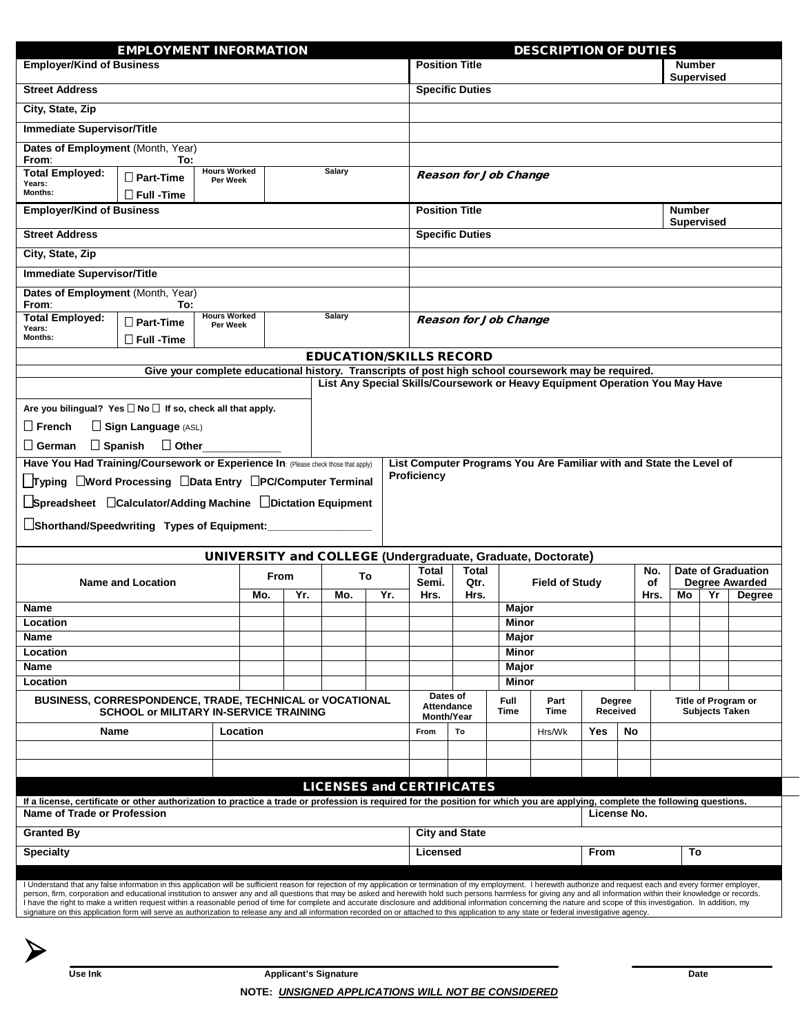| <b>EMPLOYMENT INFORMATION</b>                                                                                                                                                                                                                                                                                                                                                                                                                                                                                                                                                                                                                                                                                                                                                                                                                                           |                                |  |                                 |     |    | <b>DESCRIPTION OF DUTIES</b> |                                                                     |                                                                                                                                                                                     |                                 |              |                     |              |                                                             |               |                           |                                                    |                                              |  |  |  |
|-------------------------------------------------------------------------------------------------------------------------------------------------------------------------------------------------------------------------------------------------------------------------------------------------------------------------------------------------------------------------------------------------------------------------------------------------------------------------------------------------------------------------------------------------------------------------------------------------------------------------------------------------------------------------------------------------------------------------------------------------------------------------------------------------------------------------------------------------------------------------|--------------------------------|--|---------------------------------|-----|----|------------------------------|---------------------------------------------------------------------|-------------------------------------------------------------------------------------------------------------------------------------------------------------------------------------|---------------------------------|--------------|---------------------|--------------|-------------------------------------------------------------|---------------|---------------------------|----------------------------------------------------|----------------------------------------------|--|--|--|
| <b>Employer/Kind of Business</b>                                                                                                                                                                                                                                                                                                                                                                                                                                                                                                                                                                                                                                                                                                                                                                                                                                        |                                |  |                                 |     |    |                              | <b>Position Title</b><br><b>Number</b><br><b>Supervised</b>         |                                                                                                                                                                                     |                                 |              |                     |              |                                                             |               |                           |                                                    |                                              |  |  |  |
| <b>Street Address</b>                                                                                                                                                                                                                                                                                                                                                                                                                                                                                                                                                                                                                                                                                                                                                                                                                                                   |                                |  |                                 |     |    |                              | <b>Specific Duties</b>                                              |                                                                                                                                                                                     |                                 |              |                     |              |                                                             |               |                           |                                                    |                                              |  |  |  |
| City, State, Zip                                                                                                                                                                                                                                                                                                                                                                                                                                                                                                                                                                                                                                                                                                                                                                                                                                                        |                                |  |                                 |     |    |                              |                                                                     |                                                                                                                                                                                     |                                 |              |                     |              |                                                             |               |                           |                                                    |                                              |  |  |  |
| <b>Immediate Supervisor/Title</b>                                                                                                                                                                                                                                                                                                                                                                                                                                                                                                                                                                                                                                                                                                                                                                                                                                       |                                |  |                                 |     |    |                              |                                                                     |                                                                                                                                                                                     |                                 |              |                     |              |                                                             |               |                           |                                                    |                                              |  |  |  |
| Dates of Employment (Month, Year)<br>From:<br>To:                                                                                                                                                                                                                                                                                                                                                                                                                                                                                                                                                                                                                                                                                                                                                                                                                       |                                |  |                                 |     |    |                              |                                                                     |                                                                                                                                                                                     |                                 |              |                     |              |                                                             |               |                           |                                                    |                                              |  |  |  |
| <b>Hours Worked</b><br><b>Total Employed:</b><br>$\square$ Part-Time<br>Per Week<br>Years:                                                                                                                                                                                                                                                                                                                                                                                                                                                                                                                                                                                                                                                                                                                                                                              |                                |  |                                 |     |    | <b>Salary</b>                |                                                                     |                                                                                                                                                                                     | <b>Reason for Job Change</b>    |              |                     |              |                                                             |               |                           |                                                    |                                              |  |  |  |
| Months:<br>$\Box$ Full -Time<br><b>Employer/Kind of Business</b>                                                                                                                                                                                                                                                                                                                                                                                                                                                                                                                                                                                                                                                                                                                                                                                                        |                                |  |                                 |     |    |                              |                                                                     | <b>Position Title</b><br><b>Number</b>                                                                                                                                              |                                 |              |                     |              |                                                             |               |                           |                                                    |                                              |  |  |  |
| <b>Street Address</b>                                                                                                                                                                                                                                                                                                                                                                                                                                                                                                                                                                                                                                                                                                                                                                                                                                                   |                                |  |                                 |     |    |                              |                                                                     | <b>Supervised</b><br><b>Specific Duties</b>                                                                                                                                         |                                 |              |                     |              |                                                             |               |                           |                                                    |                                              |  |  |  |
| City, State, Zip                                                                                                                                                                                                                                                                                                                                                                                                                                                                                                                                                                                                                                                                                                                                                                                                                                                        |                                |  |                                 |     |    |                              |                                                                     |                                                                                                                                                                                     |                                 |              |                     |              |                                                             |               |                           |                                                    |                                              |  |  |  |
| <b>Immediate Supervisor/Title</b>                                                                                                                                                                                                                                                                                                                                                                                                                                                                                                                                                                                                                                                                                                                                                                                                                                       |                                |  |                                 |     |    |                              |                                                                     |                                                                                                                                                                                     |                                 |              |                     |              |                                                             |               |                           |                                                    |                                              |  |  |  |
| Dates of Employment (Month, Year)<br>From:                                                                                                                                                                                                                                                                                                                                                                                                                                                                                                                                                                                                                                                                                                                                                                                                                              | To:                            |  |                                 |     |    |                              |                                                                     |                                                                                                                                                                                     |                                 |              |                     |              |                                                             |               |                           |                                                    |                                              |  |  |  |
| <b>Total Employed:</b><br>Years:                                                                                                                                                                                                                                                                                                                                                                                                                                                                                                                                                                                                                                                                                                                                                                                                                                        | $\square$ Part-Time            |  | <b>Hours Worked</b><br>Per Week |     |    | <b>Salary</b>                |                                                                     |                                                                                                                                                                                     | <b>Reason for Job Change</b>    |              |                     |              |                                                             |               |                           |                                                    |                                              |  |  |  |
| Months:                                                                                                                                                                                                                                                                                                                                                                                                                                                                                                                                                                                                                                                                                                                                                                                                                                                                 | $\Box$ Full -Time              |  |                                 |     |    |                              |                                                                     |                                                                                                                                                                                     |                                 |              |                     |              |                                                             |               |                           |                                                    |                                              |  |  |  |
| <b>EDUCATION/SKILLS RECORD</b>                                                                                                                                                                                                                                                                                                                                                                                                                                                                                                                                                                                                                                                                                                                                                                                                                                          |                                |  |                                 |     |    |                              |                                                                     |                                                                                                                                                                                     |                                 |              |                     |              |                                                             |               |                           |                                                    |                                              |  |  |  |
|                                                                                                                                                                                                                                                                                                                                                                                                                                                                                                                                                                                                                                                                                                                                                                                                                                                                         |                                |  |                                 |     |    |                              |                                                                     | Give your complete educational history. Transcripts of post high school coursework may be required.<br>List Any Special Skills/Coursework or Heavy Equipment Operation You May Have |                                 |              |                     |              |                                                             |               |                           |                                                    |                                              |  |  |  |
|                                                                                                                                                                                                                                                                                                                                                                                                                                                                                                                                                                                                                                                                                                                                                                                                                                                                         |                                |  |                                 |     |    |                              |                                                                     |                                                                                                                                                                                     |                                 |              |                     |              |                                                             |               |                           |                                                    |                                              |  |  |  |
| Are you bilingual? Yes $\square$ No $\square$ If so, check all that apply.                                                                                                                                                                                                                                                                                                                                                                                                                                                                                                                                                                                                                                                                                                                                                                                              |                                |  |                                 |     |    |                              |                                                                     |                                                                                                                                                                                     |                                 |              |                     |              |                                                             |               |                           |                                                    |                                              |  |  |  |
| $\square$ French                                                                                                                                                                                                                                                                                                                                                                                                                                                                                                                                                                                                                                                                                                                                                                                                                                                        | $\Box$ Sign Language (ASL)     |  |                                 |     |    |                              |                                                                     |                                                                                                                                                                                     |                                 |              |                     |              |                                                             |               |                           |                                                    |                                              |  |  |  |
| $\sqcup$ German                                                                                                                                                                                                                                                                                                                                                                                                                                                                                                                                                                                                                                                                                                                                                                                                                                                         | $\Box$ Spanish<br>$\Box$ Other |  |                                 |     |    |                              |                                                                     |                                                                                                                                                                                     |                                 |              |                     |              |                                                             |               |                           |                                                    |                                              |  |  |  |
| Have You Had Training/Coursework or Experience In: (Please check those that apply)<br>Typing UWord Processing UData Entry UPC/Computer Terminal                                                                                                                                                                                                                                                                                                                                                                                                                                                                                                                                                                                                                                                                                                                         |                                |  |                                 |     |    | Proficiency                  | List Computer Programs You Are Familiar with and State the Level of |                                                                                                                                                                                     |                                 |              |                     |              |                                                             |               |                           |                                                    |                                              |  |  |  |
| LSpreadsheet □Calculator/Adding Machine □Dictation Equipment                                                                                                                                                                                                                                                                                                                                                                                                                                                                                                                                                                                                                                                                                                                                                                                                            |                                |  |                                 |     |    |                              |                                                                     |                                                                                                                                                                                     |                                 |              |                     |              |                                                             |               |                           |                                                    |                                              |  |  |  |
| $\Box$ Shorthand/Speedwriting Types of Equipment: $\_$                                                                                                                                                                                                                                                                                                                                                                                                                                                                                                                                                                                                                                                                                                                                                                                                                  |                                |  |                                 |     |    |                              |                                                                     |                                                                                                                                                                                     |                                 |              |                     |              |                                                             |               |                           |                                                    |                                              |  |  |  |
|                                                                                                                                                                                                                                                                                                                                                                                                                                                                                                                                                                                                                                                                                                                                                                                                                                                                         |                                |  |                                 |     |    |                              |                                                                     |                                                                                                                                                                                     |                                 |              |                     |              | UNIVERSITY and COLLEGE (Undergraduate, Graduate, Doctorate) |               |                           |                                                    |                                              |  |  |  |
| From                                                                                                                                                                                                                                                                                                                                                                                                                                                                                                                                                                                                                                                                                                                                                                                                                                                                    |                                |  |                                 |     | To |                              |                                                                     | Total<br>Total                                                                                                                                                                      |                                 |              |                     |              |                                                             | No.           | <b>Date of Graduation</b> |                                                    |                                              |  |  |  |
|                                                                                                                                                                                                                                                                                                                                                                                                                                                                                                                                                                                                                                                                                                                                                                                                                                                                         | <b>Name and Location</b>       |  | Mo.                             | Yr. |    | Yr.<br>Mo.                   |                                                                     | Semi.<br>Hrs.                                                                                                                                                                       |                                 | Qtr.<br>Hrs. |                     |              | <b>Field of Study</b>                                       |               | of<br>Hrs.                | <b>Degree Awarded</b><br>Mo<br>Yr<br><b>Degree</b> |                                              |  |  |  |
| Name                                                                                                                                                                                                                                                                                                                                                                                                                                                                                                                                                                                                                                                                                                                                                                                                                                                                    |                                |  |                                 |     |    |                              |                                                                     |                                                                                                                                                                                     |                                 |              |                     | Major        |                                                             |               |                           |                                                    |                                              |  |  |  |
| Location                                                                                                                                                                                                                                                                                                                                                                                                                                                                                                                                                                                                                                                                                                                                                                                                                                                                |                                |  |                                 |     |    |                              | <b>Minor</b>                                                        |                                                                                                                                                                                     |                                 |              |                     |              |                                                             |               |                           |                                                    |                                              |  |  |  |
| Name                                                                                                                                                                                                                                                                                                                                                                                                                                                                                                                                                                                                                                                                                                                                                                                                                                                                    |                                |  |                                 |     |    |                              |                                                                     |                                                                                                                                                                                     | Major<br>Minor                  |              |                     |              |                                                             |               |                           |                                                    |                                              |  |  |  |
| <b>Name</b>                                                                                                                                                                                                                                                                                                                                                                                                                                                                                                                                                                                                                                                                                                                                                                                                                                                             | Location                       |  |                                 |     |    |                              |                                                                     |                                                                                                                                                                                     |                                 |              |                     | Major        |                                                             |               |                           |                                                    |                                              |  |  |  |
| Location                                                                                                                                                                                                                                                                                                                                                                                                                                                                                                                                                                                                                                                                                                                                                                                                                                                                |                                |  |                                 |     |    |                              |                                                                     | Minor                                                                                                                                                                               |                                 |              |                     |              |                                                             |               |                           |                                                    |                                              |  |  |  |
| BUSINESS, CORRESPONDENCE, TRADE, TECHNICAL or VOCATIONAL<br><b>SCHOOL or MILITARY IN-SERVICE TRAINING</b>                                                                                                                                                                                                                                                                                                                                                                                                                                                                                                                                                                                                                                                                                                                                                               |                                |  |                                 |     |    |                              |                                                                     | Dates of<br>Attendance                                                                                                                                                              |                                 |              | <b>Full</b><br>Time | Part<br>Time | Degree<br>Received                                          |               |                           |                                                    | Title of Program or<br><b>Subjects Taken</b> |  |  |  |
| Name                                                                                                                                                                                                                                                                                                                                                                                                                                                                                                                                                                                                                                                                                                                                                                                                                                                                    |                                |  | Location                        |     |    |                              |                                                                     |                                                                                                                                                                                     | <b>Month/Year</b><br>From<br>To |              |                     |              |                                                             | Yes<br>Hrs/Wk |                           |                                                    |                                              |  |  |  |
|                                                                                                                                                                                                                                                                                                                                                                                                                                                                                                                                                                                                                                                                                                                                                                                                                                                                         |                                |  |                                 |     |    |                              |                                                                     |                                                                                                                                                                                     |                                 |              |                     |              |                                                             |               | No                        |                                                    |                                              |  |  |  |
|                                                                                                                                                                                                                                                                                                                                                                                                                                                                                                                                                                                                                                                                                                                                                                                                                                                                         |                                |  |                                 |     |    |                              |                                                                     |                                                                                                                                                                                     |                                 |              |                     |              |                                                             |               |                           |                                                    |                                              |  |  |  |
|                                                                                                                                                                                                                                                                                                                                                                                                                                                                                                                                                                                                                                                                                                                                                                                                                                                                         |                                |  |                                 |     |    |                              |                                                                     | <b>LICENSES and CERTIFICATES</b>                                                                                                                                                    |                                 |              |                     |              |                                                             |               |                           |                                                    |                                              |  |  |  |
| If a license, certificate or other authorization to practice a trade or profession is required for the position for which you are applying, complete the following questions.<br>Name of Trade or Profession                                                                                                                                                                                                                                                                                                                                                                                                                                                                                                                                                                                                                                                            |                                |  |                                 |     |    |                              |                                                                     |                                                                                                                                                                                     |                                 |              |                     |              |                                                             | License No.   |                           |                                                    |                                              |  |  |  |
| <b>Granted By</b>                                                                                                                                                                                                                                                                                                                                                                                                                                                                                                                                                                                                                                                                                                                                                                                                                                                       |                                |  |                                 |     |    |                              | <b>City and State</b>                                               |                                                                                                                                                                                     |                                 |              |                     |              |                                                             |               |                           |                                                    |                                              |  |  |  |
| <b>Specialty</b>                                                                                                                                                                                                                                                                                                                                                                                                                                                                                                                                                                                                                                                                                                                                                                                                                                                        |                                |  |                                 |     |    |                              | Licensed                                                            |                                                                                                                                                                                     |                                 |              |                     | From<br>To   |                                                             |               |                           |                                                    |                                              |  |  |  |
|                                                                                                                                                                                                                                                                                                                                                                                                                                                                                                                                                                                                                                                                                                                                                                                                                                                                         |                                |  |                                 |     |    |                              |                                                                     |                                                                                                                                                                                     |                                 |              |                     |              |                                                             |               |                           |                                                    |                                              |  |  |  |
| I Understand that any false information in this application will be sufficient reason for rejection of my application or termination of my employment. I herewith authorize and request each and every former employer,<br>person, firm, corporation and educational institution to answer any and all questions that may be asked and herewith hold such persons harmless for giving any and all information within their knowledge or records.<br>I have the right to make a written request within a reasonable period of time for complete and accurate disclosure and additional information concerning the nature and scope of this investigation. In addition, my<br>signature on this application form will serve as authorization to release any and all information recorded on or attached to this application to any state or federal investigative agency. |                                |  |                                 |     |    |                              |                                                                     |                                                                                                                                                                                     |                                 |              |                     |              |                                                             |               |                           |                                                    |                                              |  |  |  |
|                                                                                                                                                                                                                                                                                                                                                                                                                                                                                                                                                                                                                                                                                                                                                                                                                                                                         |                                |  |                                 |     |    |                              |                                                                     |                                                                                                                                                                                     |                                 |              |                     |              |                                                             |               |                           |                                                    |                                              |  |  |  |

\_\_\_\_\_\_\_\_\_\_\_\_\_\_\_\_\_\_\_\_\_\_\_\_\_\_\_\_ \_\_\_\_\_\_\_\_